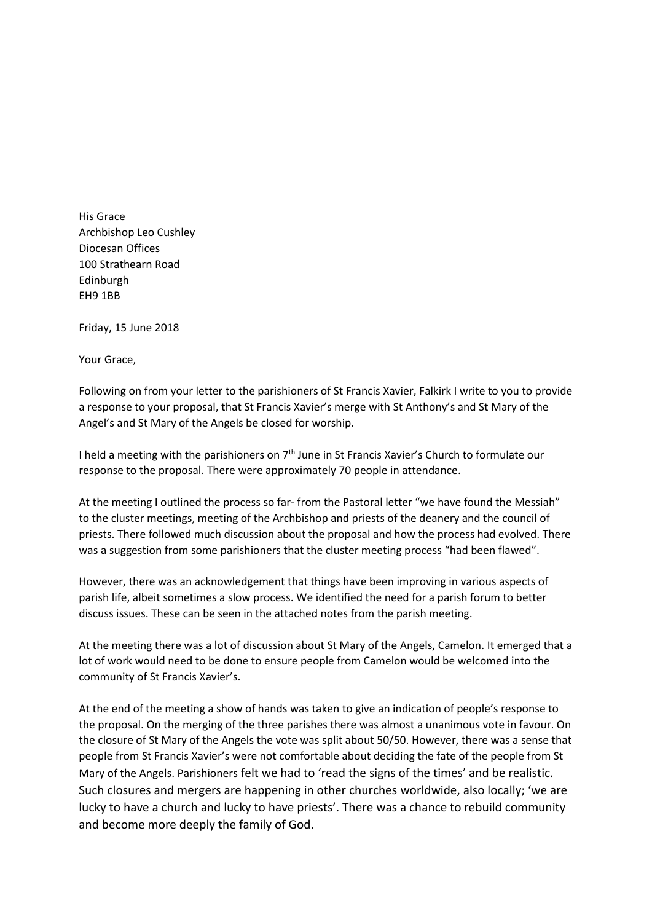His Grace Archbishop Leo Cushley Diocesan Offices 100 Strathearn Road Edinburgh EH9 1BB

Friday, 15 June 2018

Your Grace,

Following on from your letter to the parishioners of St Francis Xavier, Falkirk I write to you to provide a response to your proposal, that St Francis Xavier's merge with St Anthony's and St Mary of the Angel's and St Mary of the Angels be closed for worship.

I held a meeting with the parishioners on  $7<sup>th</sup>$  June in St Francis Xavier's Church to formulate our response to the proposal. There were approximately 70 people in attendance.

At the meeting I outlined the process so far- from the Pastoral letter "we have found the Messiah" to the cluster meetings, meeting of the Archbishop and priests of the deanery and the council of priests. There followed much discussion about the proposal and how the process had evolved. There was a suggestion from some parishioners that the cluster meeting process "had been flawed".

However, there was an acknowledgement that things have been improving in various aspects of parish life, albeit sometimes a slow process. We identified the need for a parish forum to better discuss issues. These can be seen in the attached notes from the parish meeting.

At the meeting there was a lot of discussion about St Mary of the Angels, Camelon. It emerged that a lot of work would need to be done to ensure people from Camelon would be welcomed into the community of St Francis Xavier's.

At the end of the meeting a show of hands was taken to give an indication of people's response to the proposal. On the merging of the three parishes there was almost a unanimous vote in favour. On the closure of St Mary of the Angels the vote was split about 50/50. However, there was a sense that people from St Francis Xavier's were not comfortable about deciding the fate of the people from St Mary of the Angels. Parishioners felt we had to 'read the signs of the times' and be realistic. Such closures and mergers are happening in other churches worldwide, also locally; 'we are lucky to have a church and lucky to have priests'. There was a chance to rebuild community and become more deeply the family of God.